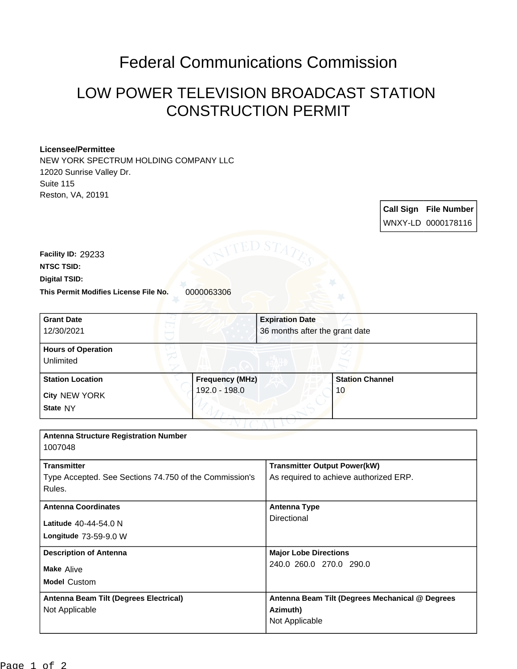## Federal Communications Commission

## LOW POWER TELEVISION BROADCAST STATION CONSTRUCTION PERMIT

## **Licensee/Permittee**

NEW YORK SPECTRUM HOLDING COMPANY LLC 12020 Sunrise Valley Dr. Suite 115 Reston, VA, 20191

> **Call Sign File Number** WNXY-LD 0000178116

**This Permit Modifies License File No.** 0000063306 **Digital TSID: NTSC TSID: Facility ID:** 29233

| <b>Grant Date</b><br>12/30/2021                        |                        | <b>Expiration Date</b><br>36 months after the grant date |                        |
|--------------------------------------------------------|------------------------|----------------------------------------------------------|------------------------|
| <b>Hours of Operation</b>                              |                        |                                                          |                        |
| Unlimited                                              |                        |                                                          |                        |
| <b>Station Location</b>                                | <b>Frequency (MHz)</b> |                                                          | <b>Station Channel</b> |
| <b>City NEW YORK</b>                                   | 192.0 - 198.0          |                                                          | 10                     |
| State NY                                               |                        |                                                          |                        |
|                                                        |                        |                                                          |                        |
| <b>Antenna Structure Registration Number</b>           |                        |                                                          |                        |
| 1007048                                                |                        |                                                          |                        |
| <b>Transmitter</b>                                     |                        | <b>Transmitter Output Power(kW)</b>                      |                        |
| Type Accepted. See Sections 74.750 of the Commission's |                        | As required to achieve authorized ERP.                   |                        |
| Rules.                                                 |                        |                                                          |                        |
| <b>Antenna Coordinates</b>                             |                        | <b>Antenna Type</b>                                      |                        |
| Latitude 40-44-54.0 N                                  |                        | Directional                                              |                        |
| Longitude 73-59-9.0 W                                  |                        |                                                          |                        |
| <b>Description of Antenna</b>                          |                        | <b>Major Lobe Directions</b>                             |                        |
| <b>Make Alive</b>                                      |                        | 240.0 260.0 270.0 290.0                                  |                        |
| <b>Model Custom</b>                                    |                        |                                                          |                        |
| Antenna Beam Tilt (Degrees Electrical)                 |                        | Antenna Beam Tilt (Degrees Mechanical @ Degrees          |                        |
| Not Applicable                                         |                        | Azimuth)                                                 |                        |
|                                                        |                        | Not Applicable                                           |                        |